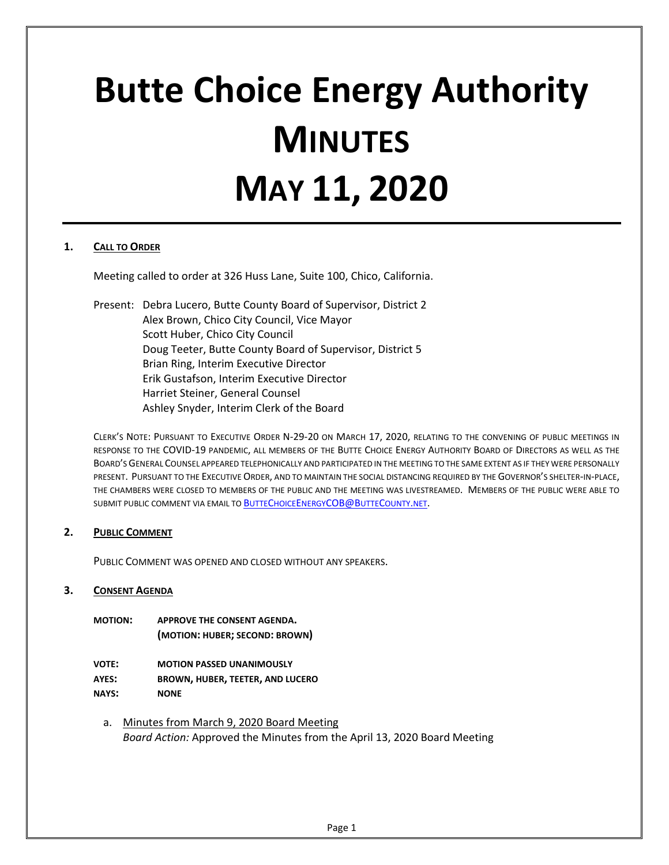# **Butte Choice Energy Authority MINUTES MAY 11, 2020**

## **1. CALL TO ORDER**

Meeting called to order at 326 Huss Lane, Suite 100, Chico, California.

Present: Debra Lucero, Butte County Board of Supervisor, District 2 Alex Brown, Chico City Council, Vice Mayor Scott Huber, Chico City Council Doug Teeter, Butte County Board of Supervisor, District 5 Brian Ring, Interim Executive Director Erik Gustafson, Interim Executive Director Harriet Steiner, General Counsel Ashley Snyder, Interim Clerk of the Board

CLERK'S NOTE: PURSUANT TO EXECUTIVE ORDER N-29-20 ON MARCH 17, 2020, RELATING TO THE CONVENING OF PUBLIC MEETINGS IN RESPONSE TO THE COVID-19 PANDEMIC, ALL MEMBERS OF THE BUTTE CHOICE ENERGY AUTHORITY BOARD OF DIRECTORS AS WELL AS THE BOARD'S GENERAL COUNSEL APPEARED TELEPHONICALLY AND PARTICIPATED IN THE MEETING TO THE SAME EXTENT AS IF THEY WERE PERSONALLY PRESENT. PURSUANT TO THE EXECUTIVE ORDER, AND TO MAINTAIN THE SOCIAL DISTANCING REQUIRED BY THE GOVERNOR'S SHELTER-IN-PLACE, THE CHAMBERS WERE CLOSED TO MEMBERS OF THE PUBLIC AND THE MEETING WAS LIVESTREAMED. MEMBERS OF THE PUBLIC WERE ABLE TO SUBMIT PUBLIC COMMENT VIA EMAIL TO **BUTTECHOICEENERGYCOB@BUTTECOUNTY.NET.** 

## **2. PUBLIC COMMENT**

PUBLIC COMMENT WAS OPENED AND CLOSED WITHOUT ANY SPEAKERS.

## **3. CONSENT AGENDA**

| <b>MOTION:</b> | APPROVE THE CONSENT AGENDA.    |
|----------------|--------------------------------|
|                | (MOTION: HUBER; SECOND: BROWN) |

**VOTE: MOTION PASSED UNANIMOUSLY AYES: BROWN, HUBER, TEETER, AND LUCERO NAYS: NONE**

- 
- a. Minutes from March 9, 2020 Board Meeting *Board Action:* Approved the Minutes from the April 13, 2020 Board Meeting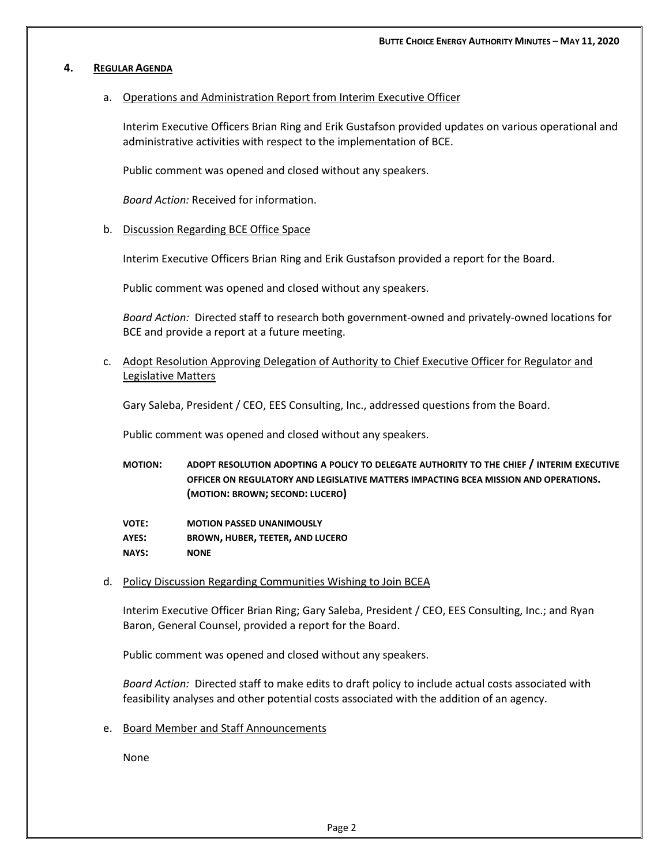#### **4. REGULAR AGENDA**

## a. Operations and Administration Report from Interim Executive Officer

Interim Executive Officers Brian Ring and Erik Gustafson provided updates on various operational and administrative activities with respect to the implementation of BCE.

Public comment was opened and closed without any speakers.

*Board Action:* Received for information.

### b. Discussion Regarding BCE Office Space

Interim Executive Officers Brian Ring and Erik Gustafson provided a report for the Board.

Public comment was opened and closed without any speakers.

*Board Action:* Directed staff to research both government-owned and privately-owned locations for BCE and provide a report at a future meeting.

c. Adopt Resolution Approving Delegation of Authority to Chief Executive Officer for Regulator and Legislative Matters

Gary Saleba, President / CEO, EES Consulting, Inc., addressed questions from the Board.

Public comment was opened and closed without any speakers.

- **MOTION: ADOPT RESOLUTION ADOPTING A POLICY TO DELEGATE AUTHORITY TO THE CHIEF / INTERIM EXECUTIVE OFFICER ON REGULATORY AND LEGISLATIVE MATTERS IMPACTING BCEA MISSION AND OPERATIONS. (MOTION: BROWN; SECOND: LUCERO)**
- **VOTE: MOTION PASSED UNANIMOUSLY AYES: BROWN, HUBER, TEETER, AND LUCERO NAYS: NONE**
- d. Policy Discussion Regarding Communities Wishing to Join BCEA

Interim Executive Officer Brian Ring; Gary Saleba, President / CEO, EES Consulting, Inc.; and Ryan Baron, General Counsel, provided a report for the Board.

Public comment was opened and closed without any speakers.

*Board Action:* Directed staff to make edits to draft policy to include actual costs associated with feasibility analyses and other potential costs associated with the addition of an agency.

e. Board Member and Staff Announcements

None